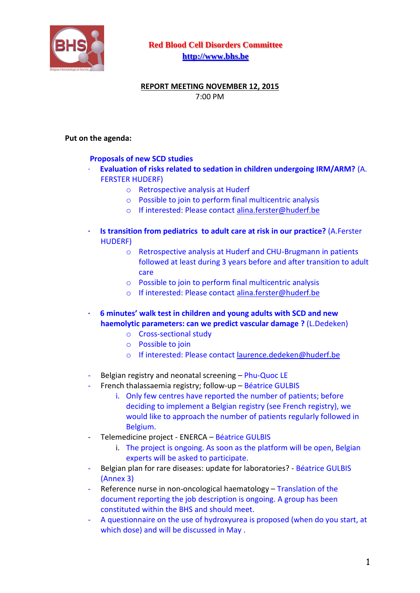

**Red Blood Cell Disorders Committee [http://www.bhs.be](http://www.bhs.be/)**

## **REPORT MEETING NOVEMBER 12, 2015** 7:00 PM

## **Put on the agenda:**

## **Proposals of new SCD studies**

- · **Evaluation of risks related to sedation in children undergoing IRM/ARM?** (A. FERSTER HUDERF)
	- o Retrospective analysis at Huderf
	- o Possible to join to perform final multicentric analysis
	- o If interested: Please contact [alina.ferster@huderf.be](mailto:alina.ferster@huderf.be)
- **· Is transition from pediatrics to adult care at risk in our practice?** (A.Ferster HUDERF)
	- o Retrospective analysis at Huderf and CHU-Brugmann in patients followed at least during 3 years before and after transition to adult care
	- o Possible to join to perform final multicentric analysis
	- o If interested: Please contact [alina.ferster@huderf.be](mailto:alina.ferster@huderf.be)
- **· 6 minutes' walk test in children and young adults with SCD and new haemolytic parameters: can we predict vascular damage ?** (L.Dedeken)
	- o Cross-sectional study
	- o Possible to join
	- o If interested: Please contact [laurence.dedeken@huderf.be](mailto:laurence.dedeken@huderf.be)
- Belgian registry and neonatal screening Phu-Quoc LE
- French thalassaemia registry; follow-up Béatrice GULBIS
	- i. Only few centres have reported the number of patients; before deciding to implement a Belgian registry (see French registry), we would like to approach the number of patients regularly followed in Belgium.
- Telemedicine project ENERCA Béatrice GULBIS
	- i. The project is ongoing. As soon as the platform will be open, Belgian experts will be asked to participate.
- Belgian plan for rare diseases: update for laboratories? Béatrice GULBIS (Annex 3)
- Reference nurse in non-oncological haematology Translation of the document reporting the job description is ongoing. A group has been constituted within the BHS and should meet.
- A questionnaire on the use of hydroxyurea is proposed (when do you start, at which dose) and will be discussed in May .